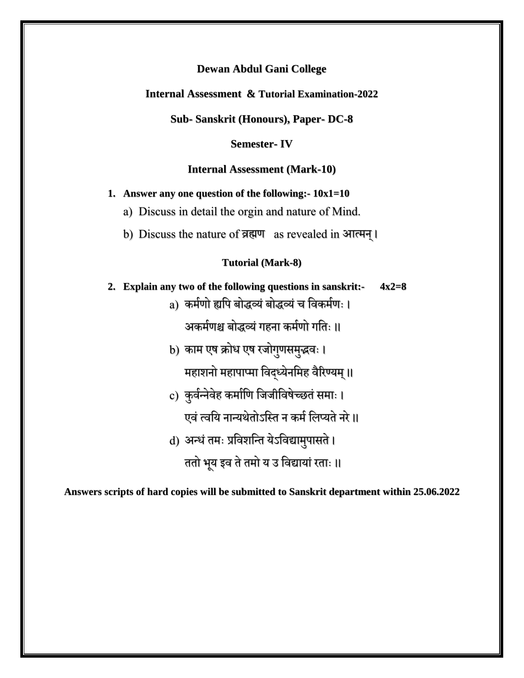**Internal Assessment & Tutorial Examination-2022**

**Sub- Sanskrit (Honours), Paper- DC-8**

**Semester- IV**

**Internal Assessment (Mark-10)**

**1. Answer any one question of the following:- 10x1=10**

a) Discuss in detail the orgin and nature of Mind.

b) Discuss the nature of व्रह्मण as revealed in आत्मन्।

#### **Tutorial (Mark-8)**

**2. Explain any two of the following questions in sanskrit:- 4x2=8**

a) कममणो ह्यपि बोद्धव्यंबोद्धव्यंच पिकममणः ।

अकर्मणश्च बोद्धव्यं गहना कर्मणो गतिः ॥

- b) काम एष क्रोध एष रजोगुणसमुद्धवः । महाशनो महापाप्मा विद्ध्येनमिह वैरिण्यम् ॥
- c) कुर्वन्नेवेह कर्माणि जिजीविषेच्छतं समाः । एवं त्वयि नान्यथेतोऽस्ति न कर्म लिप्यते नरे।। d) अन्धं तमः प्रविशन्ति येऽविद्यामुपासते ।

ततो भूय इव ते तमो य उ विद्यायां रताः ॥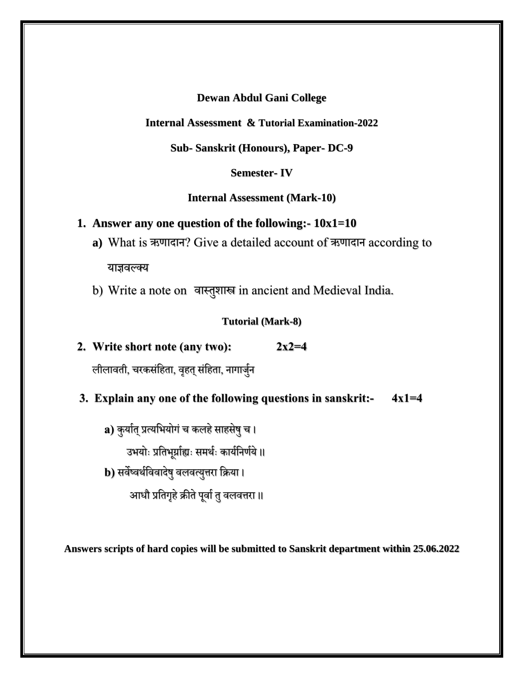# **Internal Assessment & Tutorial Examination-2022**

# **Sub- Sanskrit (Honours), Paper- DC-9**

# **Semester- IV**

## **Internal Assessment (Mark-10)**

# **1. Answer any one question of the following:- 10x1=10**

- **a)** What is ऋणाद्ान? Give a detailed account of ऋणाद्ान according to याज्ञिल्क्य
- b) Write a note on वास्तुशास्त्र in ancient and Medieval India.

# **Tutorial (Mark-8)**

**2. Write short note (any two): 2x2=4**

लीलावती, चरकसंहिता, वृहत् संहिता, नागार्जुन

# **3. Explain any one of the following questions in sanskrit:- 4x1=4**

**a)** कुर्यात् प्रत्यभियोगं च कलहे साहसेषु च ।

उभयोः प्रतिभूर्प्राह्यः समर्थः कार्यनिर्णये ॥

**b)** सर्वेष्वर्थविवादेषु वलवत्युत्तरा क्रिया।

आधौ प्रतिगृहे क्रीते पूर्वा तु वलवत्तरा ॥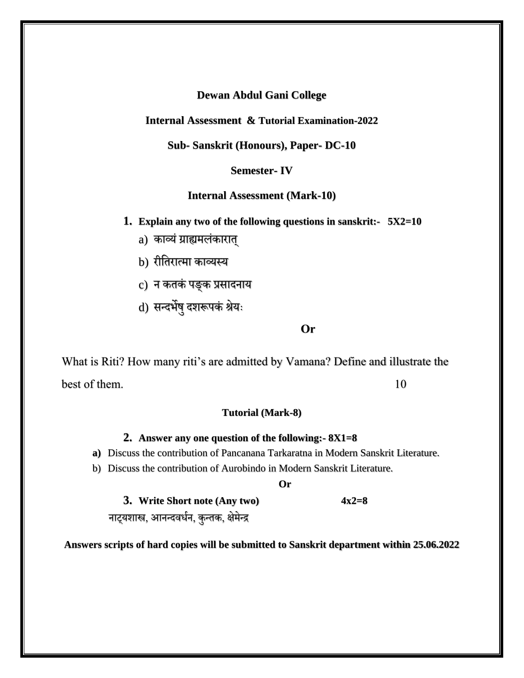**Internal Assessment & Tutorial Examination-2022**

**Sub- Sanskrit (Honours), Paper- DC-10**

**Semester- IV**

**Internal Assessment (Mark-10)**

**1. Explain any two of the following questions in sanskrit:- 5X2=10**

- a) काव्यं ग्राह्यमलंकारात्
- b) रीतिरात्मा काव्यस्य
- c) न कतकं पङ्क प्रसादनाय
- d) सन्दर्भेषु दशरूपकं श्रेयः

#### **Or**

What is Riti? How many riti's are admitted by Vamana? Define and illustrate the best of them. 10

#### **Tutorial (Mark-8)**

## **2. Answer any one question of the following:- 8X1=8**

- **a)** Discuss the contribution of Pancanana Tarkaratna in Modern Sanskrit Literature.
- b) Discuss the contribution of Aurobindo in Modern Sanskrit Literature.

**Or**

**3. Write Short note (Any two) 4x2=8** नाट्यशास्त्र, आनन्दवर्धन, कुन्तक, क्षेमेन्द्र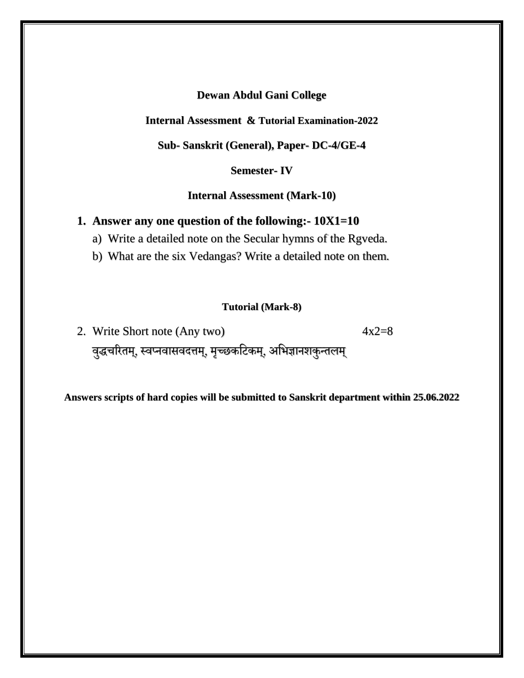#### **Internal Assessment & Tutorial Examination-2022**

**Sub- Sanskrit (General), Paper- DC-4/GE-4**

# **Semester- IV**

**Internal Assessment (Mark-10)**

## **1. Answer any one question of the following:- 10X1=10**

- a) Write a detailed note on the Secular hymns of the Rgveda.
- b) What are the six Vedangas? Write a detailed note on them.

### **Tutorial (Mark-8)**

2. Write Short note (Any two)  $4x2=8$ वुद्धचरितम्, स्वप्नवासवदत्तम्, मृच्छकटिकम्, अभिज्ञानशकुन्तलम्